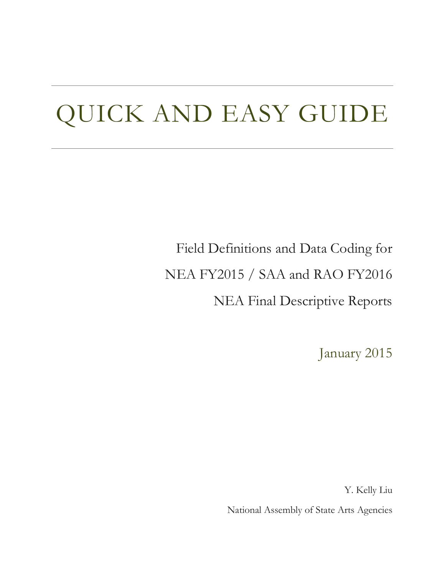# QUICK AND EASY GUIDE

Field Definitions and Data Coding for NEA FY2015 / SAA and RAO FY2016 NEA Final Descriptive Reports

January 2015

Y. Kelly Liu

National Assembly of State Arts Agencies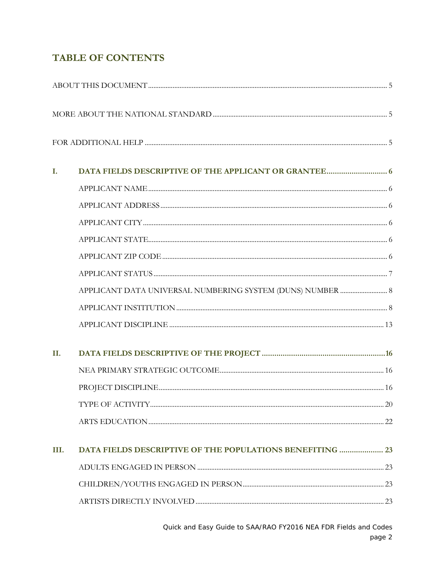# **TABLE OF CONTENTS**

| I.   |                                                                  |  |
|------|------------------------------------------------------------------|--|
|      |                                                                  |  |
|      |                                                                  |  |
|      |                                                                  |  |
|      |                                                                  |  |
|      |                                                                  |  |
|      |                                                                  |  |
|      |                                                                  |  |
|      |                                                                  |  |
|      |                                                                  |  |
| П.   |                                                                  |  |
|      |                                                                  |  |
|      |                                                                  |  |
|      |                                                                  |  |
|      |                                                                  |  |
| III. | <b>DATA FIELDS DESCRIPTIVE OF THE POPULATIONS BENEFITING  23</b> |  |
|      |                                                                  |  |
|      |                                                                  |  |
|      |                                                                  |  |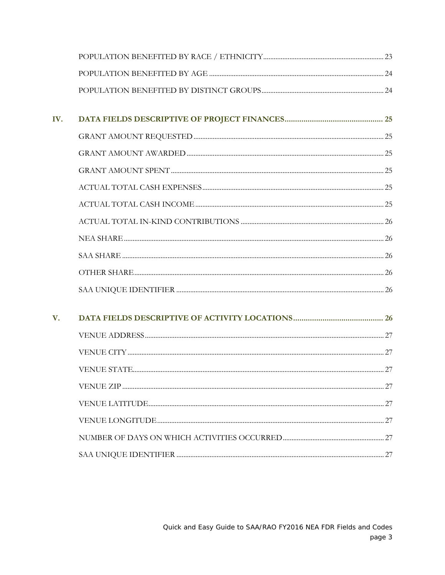| IV.         |  |
|-------------|--|
|             |  |
|             |  |
|             |  |
|             |  |
|             |  |
|             |  |
|             |  |
|             |  |
|             |  |
|             |  |
| $V_{\cdot}$ |  |
|             |  |
|             |  |
|             |  |
|             |  |
|             |  |
|             |  |
|             |  |
|             |  |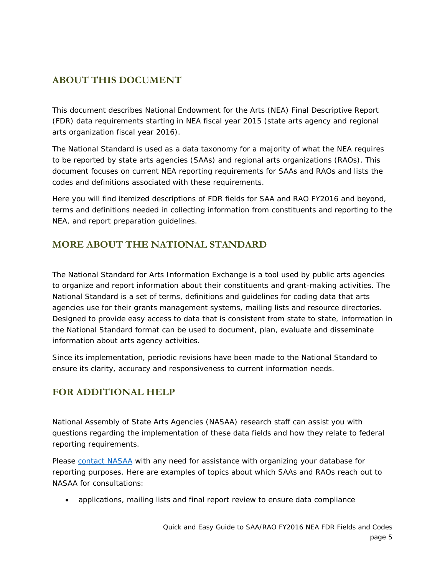# <span id="page-4-0"></span>**ABOUT THIS DOCUMENT**

This document describes National Endowment for the Arts (NEA) Final Descriptive Report (FDR) data requirements starting in NEA fiscal year 2015 (state arts agency and regional arts organization fiscal year 2016).

The National Standard is used as a data taxonomy for a majority of what the NEA requires to be reported by state arts agencies (SAAs) and regional arts organizations (RAOs). This document focuses on current NEA reporting requirements for SAAs and RAOs and lists the codes and definitions associated with these requirements.

Here you will find itemized descriptions of FDR fields for SAA and RAO FY2016 and beyond, terms and definitions needed in collecting information from constituents and reporting to the NEA, and report preparation guidelines.

# <span id="page-4-1"></span>**MORE ABOUT THE NATIONAL STANDARD**

The National Standard for Arts Information Exchange is a tool used by public arts agencies to organize and report information about their constituents and grant-making activities. The National Standard is a set of terms, definitions and guidelines for coding data that arts agencies use for their grants management systems, mailing lists and resource directories. Designed to provide easy access to data that is consistent from state to state, information in the National Standard format can be used to document, plan, evaluate and disseminate information about arts agency activities.

Since its implementation, periodic revisions have been made to the National Standard to ensure its clarity, accuracy and responsiveness to current information needs.

# <span id="page-4-2"></span>**FOR ADDITIONAL HELP**

National Assembly of State Arts Agencies (NASAA) research staff can assist you with questions regarding the implementation of these data fields and how they relate to federal reporting requirements.

Please [contact NASAA](http://www.nasaa-arts.org/Research/Ask-NASAA/index.php) with any need for assistance with organizing your database for reporting purposes. Here are examples of topics about which SAAs and RAOs reach out to NASAA for consultations:

• applications, mailing lists and final report review to ensure data compliance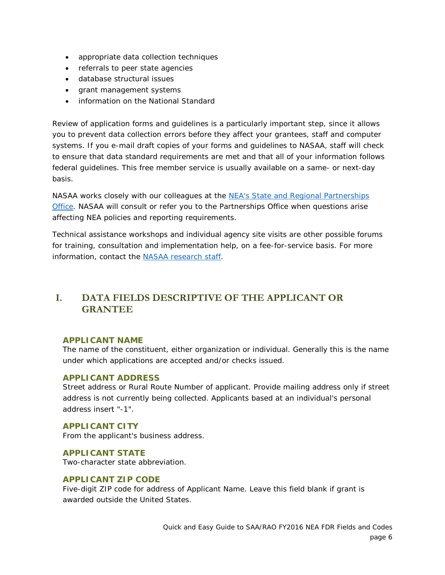- appropriate data collection techniques
- referrals to peer state agencies
- database structural issues
- grant management systems
- information on the National Standard

Review of application forms and guidelines is a particularly important step, since it allows you to prevent data collection errors before they affect your grantees, staff and computer systems. If you e-mail draft copies of your forms and guidelines to NASAA, staff will check to ensure that data standard requirements are met and that all of your information follows federal guidelines. This free member service is usually available on a same- or next-day basis.

NASAA works closely with our colleagues at the NEA's State and Regional Partnerships [Office.](http://arts.gov/artistic-fields/state-regional) NASAA will consult or refer you to the Partnerships Office when questions arise affecting NEA policies and reporting requirements.

Technical assistance workshops and individual agency site visits are other possible forums for training, consultation and implementation help, on a fee-for-service basis. For more information, contact the [NASAA research staff.](http://www.nasaa-arts.org/Research/Ask-NASAA/index.php)

# <span id="page-5-0"></span>**I. DATA FIELDS DESCRIPTIVE OF THE APPLICANT OR GRANTEE**

#### <span id="page-5-1"></span>**APPLICANT NAME**

The name of the constituent, either organization or individual. Generally this is the name under which applications are accepted and/or checks issued.

#### <span id="page-5-2"></span>**APPLICANT ADDRESS**

Street address or Rural Route Number of applicant. Provide mailing address only if street address is not currently being collected. Applicants based at an individual's personal address insert "-1".

#### <span id="page-5-3"></span>**APPLICANT CITY**

From the applicant's business address.

## <span id="page-5-4"></span>**APPLICANT STATE**

Two-character state abbreviation.

## <span id="page-5-5"></span>**APPLICANT ZIP CODE**

Five-digit ZIP code for address of Applicant Name. Leave this field blank if grant is awarded outside the United States.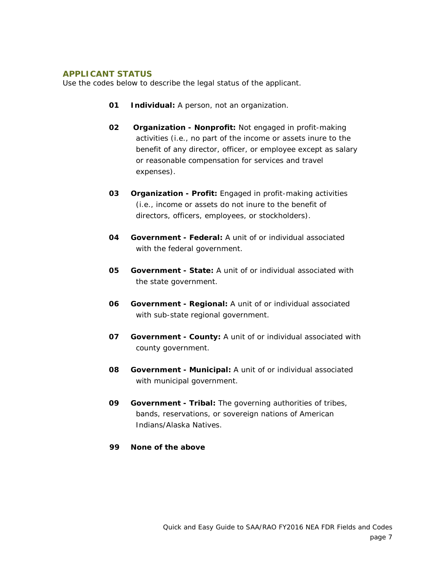#### <span id="page-6-0"></span>**APPLICANT STATUS**

Use the codes below to describe the legal status of the applicant.

- **01 Individual:** A person, not an organization.
- **02 Organization - Nonprofit:** Not engaged in profit-making activities (i.e., no part of the income or assets inure to the benefit of any director, officer, or employee except as salary or reasonable compensation for services and travel expenses).
- **03 Organization - Profit:** Engaged in profit-making activities (i.e., income or assets do not inure to the benefit of directors, officers, employees, or stockholders).
- **04 Government - Federal:** A unit of or individual associated with the federal government.
- **05 Government - State:** A unit of or individual associated with the state government.
- **06 Government - Regional:** A unit of or individual associated with sub-state regional government.
- **07 Government - County:** A unit of or individual associated with county government.
- **08 Government - Municipal:** A unit of or individual associated with municipal government.
- **09 Government - Tribal:** The governing authorities of tribes, bands, reservations, or sovereign nations of American Indians/Alaska Natives.
- **99 None of the above**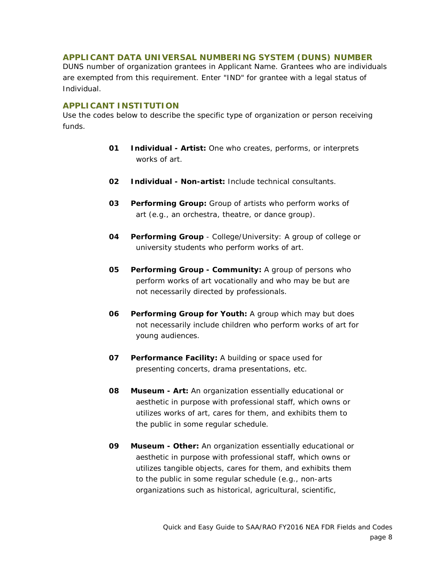#### <span id="page-7-0"></span>**APPLICANT DATA UNIVERSAL NUMBERING SYSTEM (DUNS) NUMBER**

DUNS number of organization grantees in Applicant Name. Grantees who are individuals are exempted from this requirement. Enter "IND" for grantee with a legal status of Individual.

#### <span id="page-7-1"></span>**APPLICANT INSTITUTION**

Use the codes below to describe the specific type of organization or person receiving funds.

- **01 Individual - Artist:** One who creates, performs, or interprets works of art.
- **02 Individual - Non-artist:** Include technical consultants.
- **03 Performing Group:** Group of artists who perform works of art (e.g., an orchestra, theatre, or dance group).
- **04 Performing Group** College/University: A group of college or university students who perform works of art.
- **05 Performing Group - Community:** A group of persons who perform works of art vocationally and who may be but are not necessarily directed by professionals.
- **06 Performing Group for Youth:** A group which may but does not necessarily include children who perform works of art for young audiences.
- **07 Performance Facility:** A building or space used for presenting concerts, drama presentations, etc.
- **08 Museum - Art:** An organization essentially educational or aesthetic in purpose with professional staff, which owns or utilizes works of art, cares for them, and exhibits them to the public in some regular schedule.
- **09 Museum - Other:** An organization essentially educational or aesthetic in purpose with professional staff, which owns or utilizes tangible objects, cares for them, and exhibits them to the public in some regular schedule (e.g., non-arts organizations such as historical, agricultural, scientific,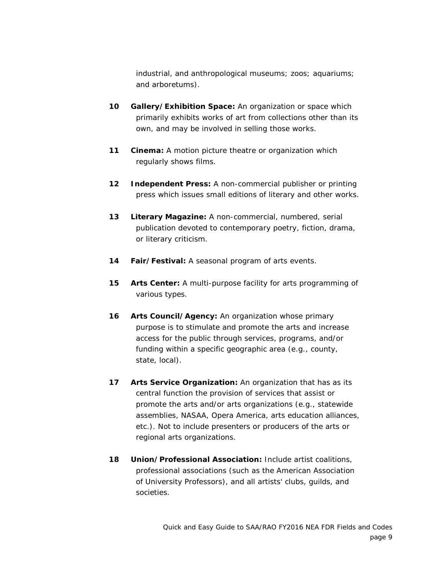industrial, and anthropological museums; zoos; aquariums; and arboretums).

- **10 Gallery/Exhibition Space:** An organization or space which primarily exhibits works of art from collections other than its own, and may be involved in selling those works.
- **11 Cinema:** A motion picture theatre or organization which regularly shows films.
- **12 Independent Press:** A non-commercial publisher or printing press which issues small editions of literary and other works.
- **13 Literary Magazine:** A non-commercial, numbered, serial publication devoted to contemporary poetry, fiction, drama, or literary criticism.
- **14 Fair/Festival:** A seasonal program of arts events.
- **15 Arts Center:** A multi-purpose facility for arts programming of various types.
- **16 Arts Council/Agency:** An organization whose primary purpose is to stimulate and promote the arts and increase access for the public through services, programs, and/or funding within a specific geographic area (e.g., county, state, local).
- **17 Arts Service Organization:** An organization that has as its central function the provision of services that assist or promote the arts and/or arts organizations (e.g., statewide assemblies, NASAA, Opera America, arts education alliances, etc.). Not to include presenters or producers of the arts or regional arts organizations.
- **18 Union/Professional Association:** Include artist coalitions, professional associations (such as the American Association of University Professors), and all artists' clubs, guilds, and societies.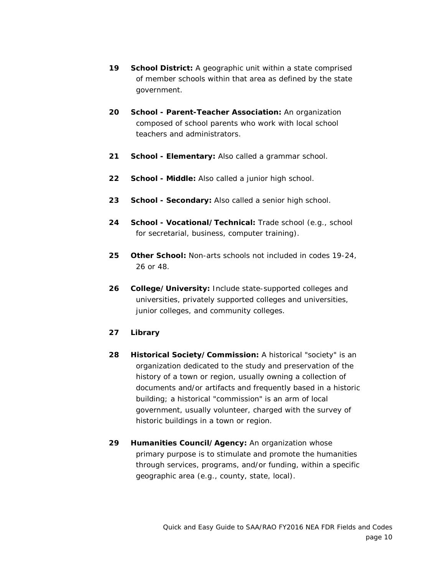- **19 School District:** A geographic unit within a state comprised of member schools within that area as defined by the state government.
- **20 School - Parent-Teacher Association:** An organization composed of school parents who work with local school teachers and administrators.
- **21 School - Elementary:** Also called a grammar school.
- **22 School - Middle:** Also called a junior high school.
- **23 School - Secondary:** Also called a senior high school.
- **24 School - Vocational/Technical:** Trade school (e.g., school for secretarial, business, computer training).
- **25 Other School:** Non-arts schools not included in codes 19-24, 26 or 48.
- **26 College/University:** Include state-supported colleges and universities, privately supported colleges and universities, junior colleges, and community colleges.
- **27 Library**
- **28 Historical Society/Commission:** A historical "society" is an organization dedicated to the study and preservation of the history of a town or region, usually owning a collection of documents and/or artifacts and frequently based in a historic building; a historical "commission" is an arm of local government, usually volunteer, charged with the survey of historic buildings in a town or region.
- **29 Humanities Council/Agency:** An organization whose primary purpose is to stimulate and promote the humanities through services, programs, and/or funding, within a specific geographic area (e.g., county, state, local).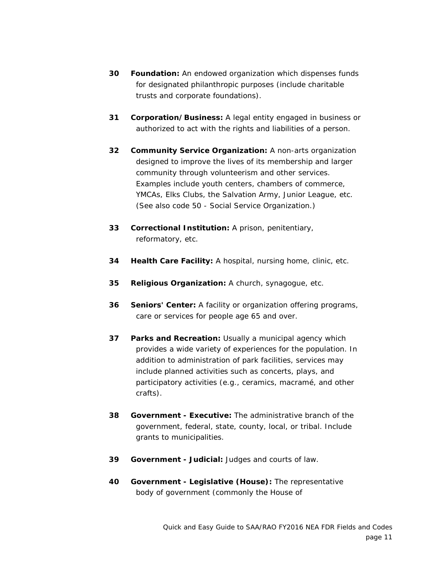- **30 Foundation:** An endowed organization which dispenses funds for designated philanthropic purposes (include charitable trusts and corporate foundations).
- **31 Corporation/Business:** A legal entity engaged in business or authorized to act with the rights and liabilities of a person.
- **32 Community Service Organization:** A non-arts organization designed to improve the lives of its membership and larger community through volunteerism and other services. Examples include youth centers, chambers of commerce, YMCAs, Elks Clubs, the Salvation Army, Junior League, etc. (See also code 50 - Social Service Organization.)
- **33 Correctional Institution:** A prison, penitentiary, reformatory, etc.
- **34 Health Care Facility:** A hospital, nursing home, clinic, etc.
- **35 Religious Organization:** A church, synagogue, etc.
- **36 Seniors' Center:** A facility or organization offering programs, care or services for people age 65 and over.
- **37 Parks and Recreation:** Usually a municipal agency which provides a wide variety of experiences for the population. In addition to administration of park facilities, services may include planned activities such as concerts, plays, and participatory activities (e.g., ceramics, macramé, and other crafts).
- **38 Government - Executive:** The administrative branch of the government, federal, state, county, local, or tribal. Include grants to municipalities.
- **39 Government - Judicial:** Judges and courts of law.
- **40 Government - Legislative (House):** The representative body of government (commonly the House of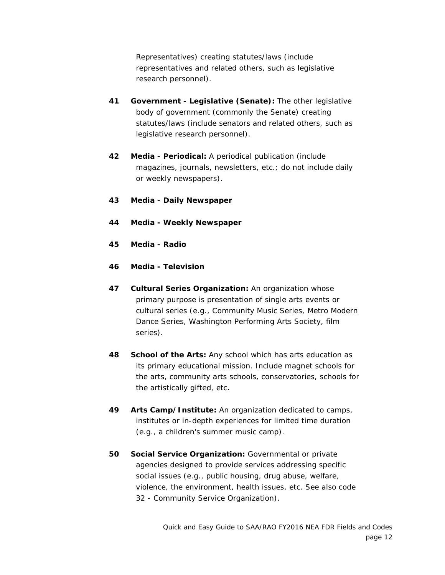Representatives) creating statutes/laws (include representatives and related others, such as legislative research personnel).

- **41 Government - Legislative (Senate):** The other legislative body of government (commonly the Senate) creating statutes/laws (include senators and related others, such as legislative research personnel).
- **42 Media - Periodical:** A periodical publication (include magazines, journals, newsletters, etc.; do not include daily or weekly newspapers).
- **43 Media - Daily Newspaper**
- **44 Media - Weekly Newspaper**
- **45 Media - Radio**
- **46 Media - Television**
- **47 Cultural Series Organization:** An organization whose primary purpose is presentation of single arts events or cultural series (e.g., Community Music Series, Metro Modern Dance Series, Washington Performing Arts Society, film series).
- **48 School of the Arts:** Any school which has arts education as its primary educational mission. Include magnet schools for the arts, community arts schools, conservatories, schools for the artistically gifted, etc**.**
- **49 Arts Camp/Institute:** An organization dedicated to camps, institutes or in-depth experiences for limited time duration (e.g., a children's summer music camp).
- **50 Social Service Organization:** Governmental or private agencies designed to provide services addressing specific social issues (e.g., public housing, drug abuse, welfare, violence, the environment, health issues, etc. See also code 32 - Community Service Organization).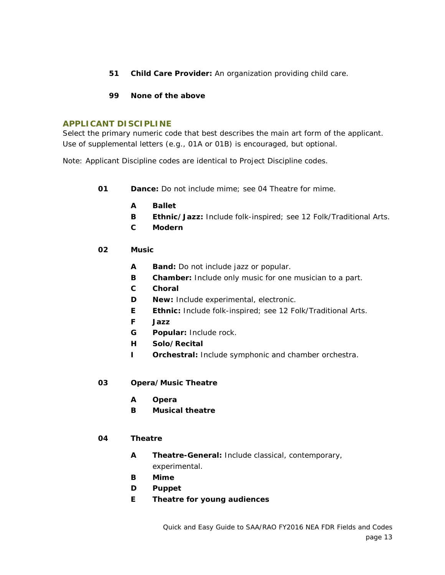- **51 Child Care Provider:** An organization providing child care.
- **99 None of the above**

#### <span id="page-12-0"></span>**APPLICANT DISCIPLINE**

Select the primary numeric code that best describes the main art form of the applicant. Use of supplemental letters (e.g., 01A or 01B) is encouraged, but optional.

Note: Applicant Discipline codes are identical to Project Discipline codes.

- **01 Dance:** Do not include mime; see 04 Theatre for mime.
	- **A Ballet**
	- **B Ethnic/Jazz:** Include folk-inspired; see 12 Folk/Traditional Arts.
	- **C Modern**
- **02 Music**
	- **A Band:** Do not include jazz or popular.
	- **B Chamber:** Include only music for one musician to a part.
	- **C Choral**
	- **D New:** Include experimental, electronic.
	- **E Ethnic:** Include folk-inspired; see 12 Folk/Traditional Arts.
	- **F Jazz**
	- **G Popular:** Include rock.
	- **H Solo/Recital**
	- **I Orchestral:** Include symphonic and chamber orchestra.
- **03 Opera/Music Theatre**
	- **A Opera**
	- **B Musical theatre**

#### **04 Theatre**

- **A Theatre-General:** Include classical, contemporary, experimental.
- **B Mime**
- **D Puppet**
- **E Theatre for young audiences**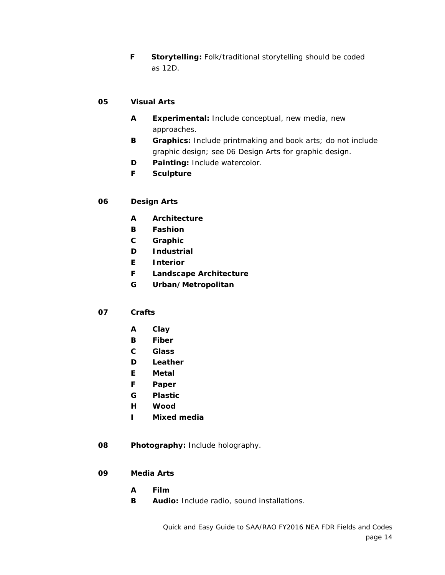**F Storytelling:** Folk/traditional storytelling should be coded as 12D.

## **05 Visual Arts**

- **A Experimental:** Include conceptual, new media, new approaches.
- **B Graphics:** Include printmaking and book arts; do not include graphic design; see 06 Design Arts for graphic design.
- **D Painting:** Include watercolor.
- **F Sculpture**

## **06 Design Arts**

- **A Architecture**
- **B Fashion**
- **C Graphic**
- **D Industrial**
- **E Interior**
- **F Landscape Architecture**
- **G Urban/Metropolitan**

#### **07 Crafts**

- **A Clay**
- **B Fiber**
- **C Glass**
- **D Leather**
- **E Metal**
- **F Paper**
- **G Plastic**
- **H Wood**
- **I Mixed media**
- **08 Photography:** Include holography.
- **09 Media Arts**
	- **A Film**
	- **B Audio:** Include radio, sound installations.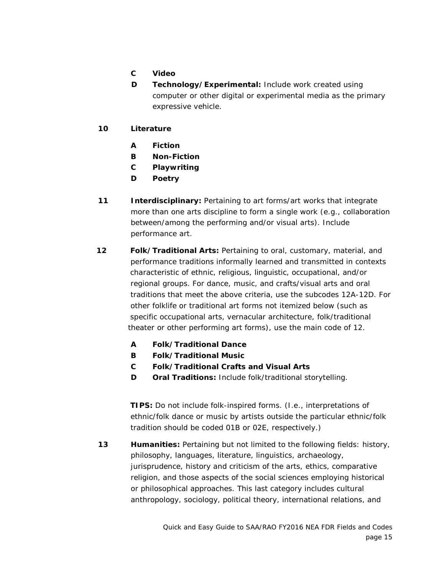- **C Video**
- **D Technology/Experimental:** Include work created using computer or other digital or experimental media as the primary expressive vehicle.
- **10 Literature**
	- **A Fiction**
	- **B Non-Fiction**
	- **C Playwriting**
	- **D Poetry**
- **11 Interdisciplinary:** Pertaining to art forms/art works that integrate more than one arts discipline to form a single work (e.g., collaboration between/among the performing and/or visual arts). Include performance art.
- **12 Folk/Traditional Arts:** Pertaining to oral, customary, material, and performance traditions informally learned and transmitted in contexts characteristic of ethnic, religious, linguistic, occupational, and/or regional groups. For dance, music, and crafts/visual arts and oral traditions that meet the above criteria, use the subcodes 12A-12D. For other folklife or traditional art forms not itemized below (such as specific occupational arts, vernacular architecture, folk/traditional theater or other performing art forms), use the main code of 12.
	- **A Folk/Traditional Dance**
	- **B Folk/Traditional Music**
	- **C Folk/Traditional Crafts and Visual Arts**
	- **D Oral Traditions:** Include folk/traditional storytelling.

 **TIPS:** Do not include folk-inspired forms. (I.e., interpretations of ethnic/folk dance or music by artists outside the particular ethnic/folk tradition should be coded 01B or 02E, respectively.)

**13 Humanities:** Pertaining but not limited to the following fields: history, philosophy, languages, literature, linguistics, archaeology, jurisprudence, history and criticism of the arts, ethics, comparative religion, and those aspects of the social sciences employing historical or philosophical approaches. This last category includes cultural anthropology, sociology, political theory, international relations, and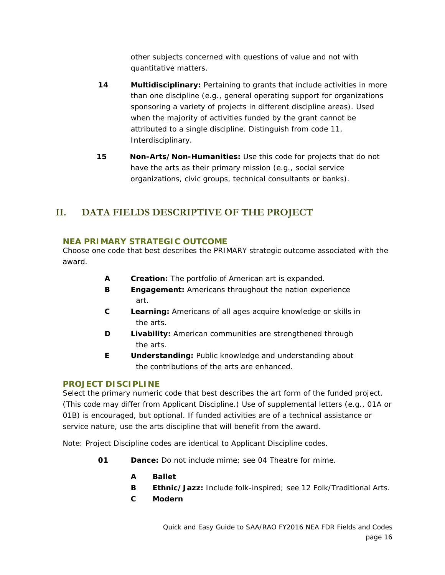other subjects concerned with questions of value and not with quantitative matters.

- **14 Multidisciplinary:** Pertaining to grants that include activities in more than one discipline (e.g., general operating support for organizations sponsoring a variety of projects in different discipline areas). Used when the majority of activities funded by the grant cannot be attributed to a single discipline. Distinguish from code 11, Interdisciplinary.
- **15 Non-Arts/Non-Humanities:** Use this code for projects that do not have the arts as their primary mission (e.g., social service organizations, civic groups, technical consultants or banks).

# <span id="page-15-0"></span>**II. DATA FIELDS DESCRIPTIVE OF THE PROJECT**

## <span id="page-15-1"></span>**NEA PRIMARY STRATEGIC OUTCOME**

Choose one code that best describes the PRIMARY strategic outcome associated with the award.

- **A Creation:** The portfolio of American art is expanded.
- **B Engagement:** Americans throughout the nation experience art.
- **C Learning:** Americans of all ages acquire knowledge or skills in the arts.
- **D** Livability: American communities are strengthened through the arts.
- **E Understanding:** Public knowledge and understanding about the contributions of the arts are enhanced.

## <span id="page-15-2"></span>**PROJECT DISCIPLINE**

Select the primary numeric code that best describes the art form of the funded project. (This code may differ from Applicant Discipline.) Use of supplemental letters (e.g., 01A or 01B) is encouraged, but optional. If funded activities are of a technical assistance or service nature, use the arts discipline that will benefit from the award.

Note: Project Discipline codes are identical to Applicant Discipline codes.

- **01 Dance:** Do not include mime; see 04 Theatre for mime.
	- **A Ballet**
	- **B Ethnic/Jazz:** Include folk-inspired; see 12 Folk/Traditional Arts.
	- **C Modern**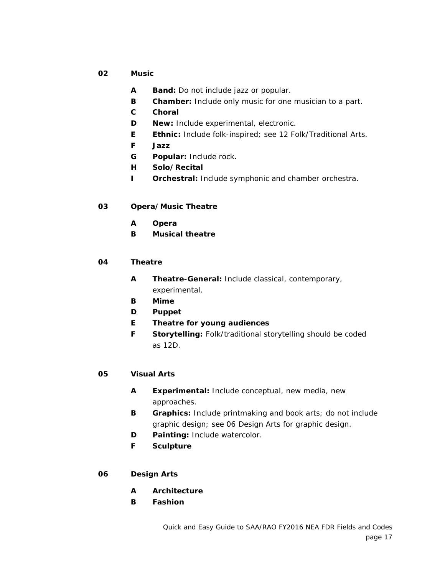- **02 Music**
	- **A Band:** Do not include jazz or popular.
	- **B Chamber:** Include only music for one musician to a part.
	- **C Choral**
	- **D New:** Include experimental, electronic.
	- **E Ethnic:** Include folk-inspired; see 12 Folk/Traditional Arts.
	- **F Jazz**
	- **G Popular:** Include rock.
	- **H Solo/Recital**
	- **I Orchestral:** Include symphonic and chamber orchestra.

#### **03 Opera/Music Theatre**

- **A Opera**
- **B Musical theatre**

#### **04 Theatre**

- **A Theatre-General:** Include classical, contemporary, experimental.
- **B Mime**
- **D Puppet**
- **E Theatre for young audiences**
- **F Storytelling:** Folk/traditional storytelling should be coded as 12D.

#### **05 Visual Arts**

- **A Experimental:** Include conceptual, new media, new approaches.
- **B Graphics:** Include printmaking and book arts; do not include graphic design; see 06 Design Arts for graphic design.
- **D Painting:** Include watercolor.
- **F Sculpture**

#### **06 Design Arts**

- **A Architecture**
- **B Fashion**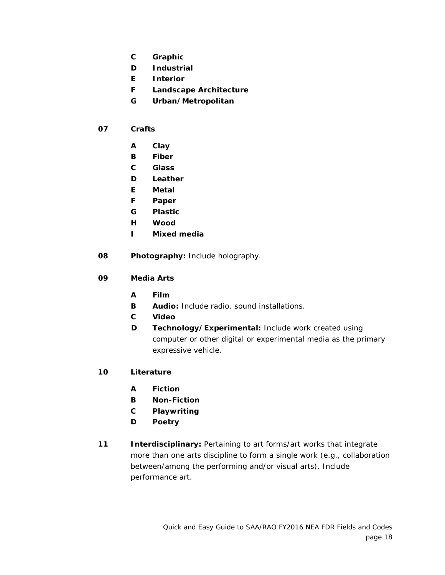- **C Graphic**
- **D Industrial**
- **E Interior**
- **F Landscape Architecture**
- **G Urban/Metropolitan**
- **07 Crafts**
	- **A Clay**
	- **B Fiber**
	- **C Glass**
	- **D Leather**
	- **E Metal**
	- **F Paper**
	- **G Plastic**
	- **H Wood**
	- **I Mixed media**
- **08 Photography:** Include holography.
- **09 Media Arts**
	- **A Film**
	- **B Audio:** Include radio, sound installations.
	- **C Video**
	- **D Technology/Experimental:** Include work created using computer or other digital or experimental media as the primary expressive vehicle.
- **10 Literature**
	- **A Fiction**
	- **B Non-Fiction**
	- **C Playwriting**
	- **D Poetry**
- **11 Interdisciplinary:** Pertaining to art forms/art works that integrate more than one arts discipline to form a single work (e.g., collaboration between/among the performing and/or visual arts). Include performance art.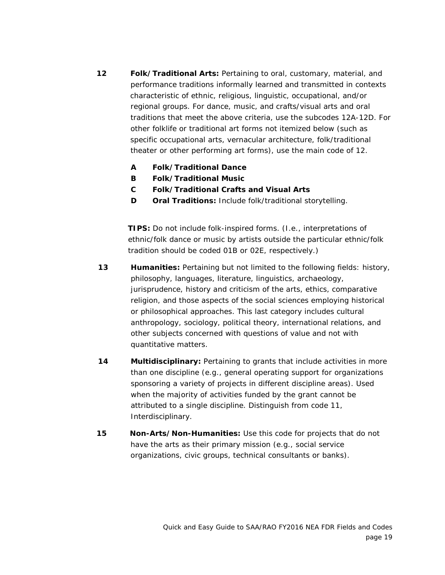- **12 Folk/Traditional Arts:** Pertaining to oral, customary, material, and performance traditions informally learned and transmitted in contexts characteristic of ethnic, religious, linguistic, occupational, and/or regional groups. For dance, music, and crafts/visual arts and oral traditions that meet the above criteria, use the subcodes 12A-12D. For other folklife or traditional art forms not itemized below (such as specific occupational arts, vernacular architecture, folk/traditional theater or other performing art forms), use the main code of 12.
	- **A Folk/Traditional Dance**
	- **B Folk/Traditional Music**
	- **C Folk/Traditional Crafts and Visual Arts**
	- **D Oral Traditions:** Include folk/traditional storytelling.

**TIPS:** Do not include folk-inspired forms. (I.e., interpretations of ethnic/folk dance or music by artists outside the particular ethnic/folk tradition should be coded 01B or 02E, respectively.)

- **13 Humanities:** Pertaining but not limited to the following fields: history, philosophy, languages, literature, linguistics, archaeology, jurisprudence, history and criticism of the arts, ethics, comparative religion, and those aspects of the social sciences employing historical or philosophical approaches. This last category includes cultural anthropology, sociology, political theory, international relations, and other subjects concerned with questions of value and not with quantitative matters.
- **14 Multidisciplinary:** Pertaining to grants that include activities in more than one discipline (e.g., general operating support for organizations sponsoring a variety of projects in different discipline areas). Used when the majority of activities funded by the grant cannot be attributed to a single discipline. Distinguish from code 11, Interdisciplinary.
- **15 Non-Arts/Non-Humanities:** Use this code for projects that do not have the arts as their primary mission (e.g., social service organizations, civic groups, technical consultants or banks).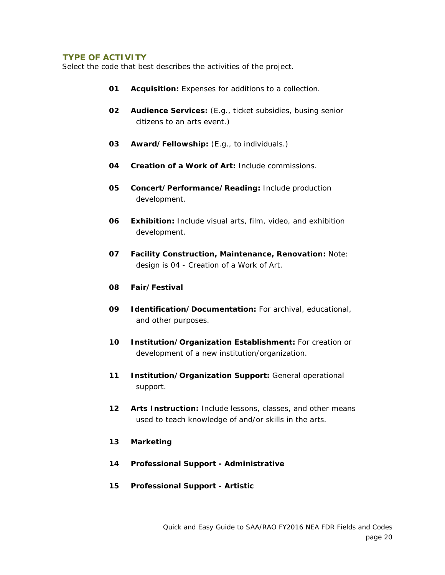#### <span id="page-19-0"></span>**TYPE OF ACTIVITY**

Select the code that best describes the activities of the project.

- **01 Acquisition:** Expenses for additions to a collection.
- **02 Audience Services:** (E.g., ticket subsidies, busing senior citizens to an arts event.)
- **03 Award/Fellowship:** (E.g., to individuals.)
- **04 Creation of a Work of Art:** Include commissions.
- **05 Concert/Performance/Reading:** Include production development.
- **06 Exhibition:** Include visual arts, film, video, and exhibition development.
- **07 Facility Construction, Maintenance, Renovation:** Note: design is 04 - Creation of a Work of Art.
- **08 Fair/Festival**
- **09 Identification/Documentation:** For archival, educational, and other purposes.
- **10 Institution/Organization Establishment:** For creation or development of a new institution/organization.
- **11 Institution/Organization Support:** General operational support.
- **12 Arts Instruction:** Include lessons, classes, and other means used to teach knowledge of and/or skills in the arts.
- **13 Marketing**
- **14 Professional Support - Administrative**
- **15 Professional Support - Artistic**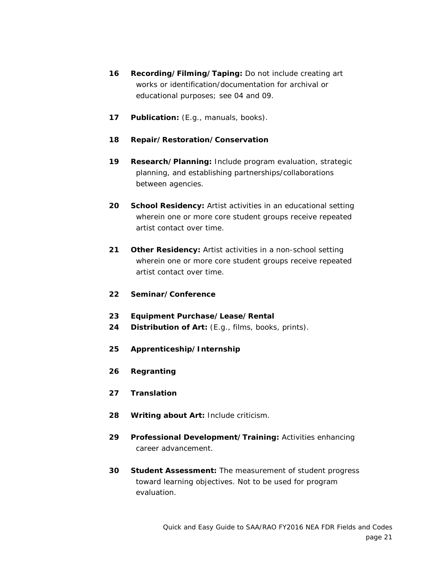- **16 Recording/Filming/Taping:** Do not include creating art works or identification/documentation for archival or educational purposes; see 04 and 09.
- **17 Publication:** (E.g., manuals, books).

## **18 Repair/Restoration/Conservation**

- **19 Research/Planning:** Include program evaluation, strategic planning, and establishing partnerships/collaborations between agencies.
- **20 School Residency:** Artist activities in an educational setting wherein one or more core student groups receive repeated artist contact over time.
- **21 Other Residency:** Artist activities in a non-school setting wherein one or more core student groups receive repeated artist contact over time.
- **22 Seminar/Conference**
- **23 Equipment Purchase/Lease/Rental**
- **24 Distribution of Art:** (E.g., films, books, prints).
- **25 Apprenticeship/Internship**
- **26 Regranting**
- **27 Translation**
- **28 Writing about Art:** Include criticism.
- **29 Professional Development/Training:** Activities enhancing career advancement.
- **30 Student Assessment:** The measurement of student progress toward learning objectives. Not to be used for program evaluation.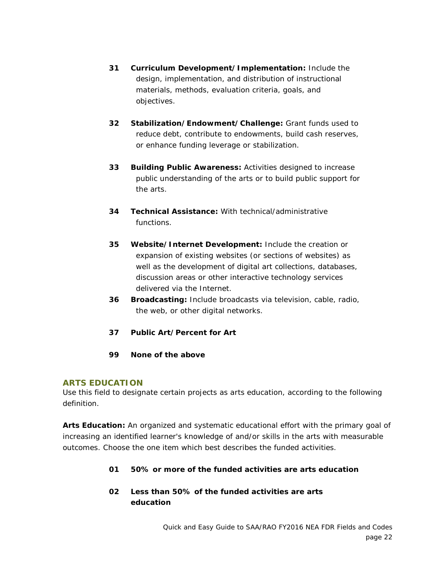- **31 Curriculum Development/Implementation:** Include the design, implementation, and distribution of instructional materials, methods, evaluation criteria, goals, and objectives.
- **32 Stabilization/Endowment/Challenge:** Grant funds used to reduce debt, contribute to endowments, build cash reserves, or enhance funding leverage or stabilization.
- **33 Building Public Awareness:** Activities designed to increase public understanding of the arts or to build public support for the arts.
- **34 Technical Assistance:** With technical/administrative functions.
- **35 Website/Internet Development:** Include the creation or expansion of existing websites (or sections of websites) as well as the development of digital art collections, databases, discussion areas or other interactive technology services delivered via the Internet.
- **36 Broadcasting:** Include broadcasts via television, cable, radio, the web, or other digital networks.
- **37 Public Art/Percent for Art**
- **99 None of the above**

## <span id="page-21-0"></span>**ARTS EDUCATION**

Use this field to designate certain projects as arts education, according to the following definition.

**Arts Education:** An organized and systematic educational effort with the primary goal of increasing an identified learner's knowledge of and/or skills in the arts with measurable outcomes. Choose the one item which best describes the funded activities.

- **01 50% or more of the funded activities are arts education**
- **02 Less than 50% of the funded activities are arts education**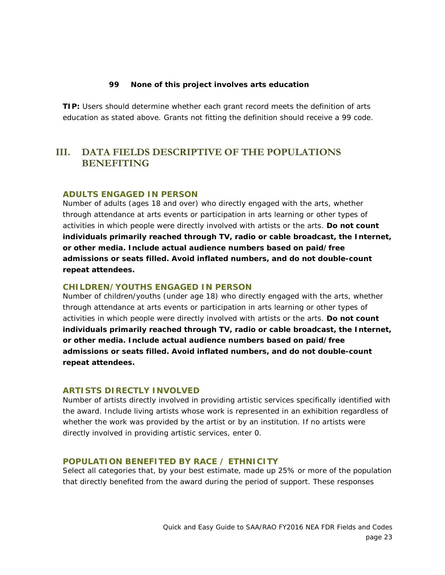#### **99 None of this project involves arts education**

**TIP:** Users should determine whether each grant record meets the definition of arts education as stated above. Grants not fitting the definition should receive a 99 code.

## <span id="page-22-0"></span>**III. DATA FIELDS DESCRIPTIVE OF THE POPULATIONS BENEFITING**

#### <span id="page-22-1"></span>**ADULTS ENGAGED IN PERSON**

Number of adults (ages 18 and over) who directly engaged with the arts, whether through attendance at arts events or participation in arts learning or other types of activities in which people were directly involved with artists or the arts. **Do not count individuals primarily reached through TV, radio or cable broadcast, the Internet, or other media. Include actual audience numbers based on paid/free admissions or seats filled. Avoid inflated numbers, and do not double-count repeat attendees.**

#### <span id="page-22-2"></span>**CHILDREN/YOUTHS ENGAGED IN PERSON**

Number of children/youths (under age 18) who directly engaged with the arts, whether through attendance at arts events or participation in arts learning or other types of activities in which people were directly involved with artists or the arts. **Do not count individuals primarily reached through TV, radio or cable broadcast, the Internet, or other media. Include actual audience numbers based on paid/free admissions or seats filled. Avoid inflated numbers, and do not double-count repeat attendees.**

#### <span id="page-22-3"></span>**ARTISTS DIRECTLY INVOLVED**

Number of artists directly involved in providing artistic services specifically identified with the award. Include living artists whose work is represented in an exhibition regardless of whether the work was provided by the artist or by an institution. If no artists were directly involved in providing artistic services, enter 0.

#### <span id="page-22-4"></span>**POPULATION BENEFITED BY RACE / ETHNICITY**

Select all categories that, by your best estimate, made up 25% or more of the population that directly benefited from the award during the period of support. These responses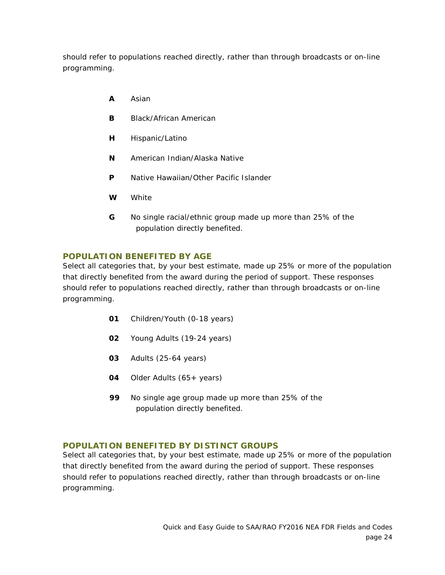should refer to populations reached directly, rather than through broadcasts or on-line programming.

- **A** Asian
- **B** Black/African American
- **H** Hispanic/Latino
- **N** American Indian/Alaska Native
- **P** Native Hawaiian/Other Pacific Islander
- **W** White
- **G** No single racial/ethnic group made up more than 25% of the population directly benefited.

## <span id="page-23-0"></span>**POPULATION BENEFITED BY AGE**

Select all categories that, by your best estimate, made up 25% or more of the population that directly benefited from the award during the period of support. These responses should refer to populations reached directly, rather than through broadcasts or on-line programming.

- **01** Children/Youth (0-18 years)
- **02** Young Adults (19-24 years)
- **03** Adults (25-64 years)
- **04** Older Adults (65+ years)
- **99** No single age group made up more than 25% of the population directly benefited.

## <span id="page-23-1"></span>**POPULATION BENEFITED BY DISTINCT GROUPS**

Select all categories that, by your best estimate, made up 25% or more of the population that directly benefited from the award during the period of support. These responses should refer to populations reached directly, rather than through broadcasts or on-line programming.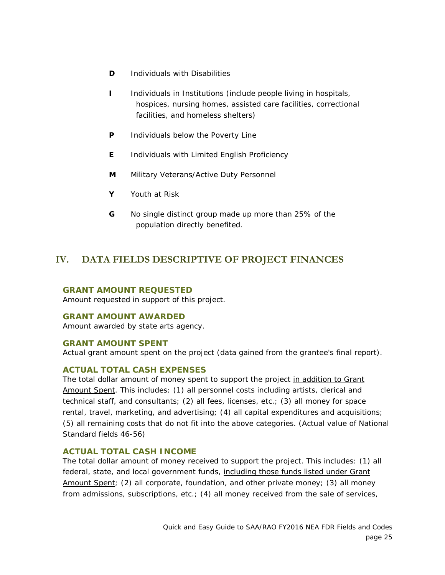- **D** Individuals with Disabilities
- **I** lndividuals in Institutions (include people living in hospitals, hospices, nursing homes, assisted care facilities, correctional facilities, and homeless shelters)
- **P** Individuals below the Poverty Line
- **E** Individuals with Limited English Proficiency
- **M** Military Veterans/Active Duty Personnel
- **Y** Youth at Risk
- **G** No single distinct group made up more than 25% of the population directly benefited.

# <span id="page-24-0"></span>**IV. DATA FIELDS DESCRIPTIVE OF PROJECT FINANCES**

#### <span id="page-24-1"></span>**GRANT AMOUNT REQUESTED**

Amount requested in support of this project.

#### <span id="page-24-2"></span>**GRANT AMOUNT AWARDED**

Amount awarded by state arts agency.

#### <span id="page-24-3"></span>**GRANT AMOUNT SPENT**

Actual grant amount spent on the project (data gained from the grantee's final report).

#### <span id="page-24-4"></span>**ACTUAL TOTAL CASH EXPENSES**

The total dollar amount of money spent to support the project in addition to Grant Amount Spent. This includes: (1) all personnel costs including artists, clerical and technical staff, and consultants; (2) all fees, licenses, etc.; (3) all money for space rental, travel, marketing, and advertising; (4) all capital expenditures and acquisitions; (5) all remaining costs that do not fit into the above categories. (Actual value of National Standard fields 46-56)

## <span id="page-24-5"></span>**ACTUAL TOTAL CASH INCOME**

The total dollar amount of money received to support the project. This includes: (1) all federal, state, and local government funds, including those funds listed under Grant Amount Spent; (2) all corporate, foundation, and other private money; (3) all money from admissions, subscriptions, etc.; (4) all money received from the sale of services,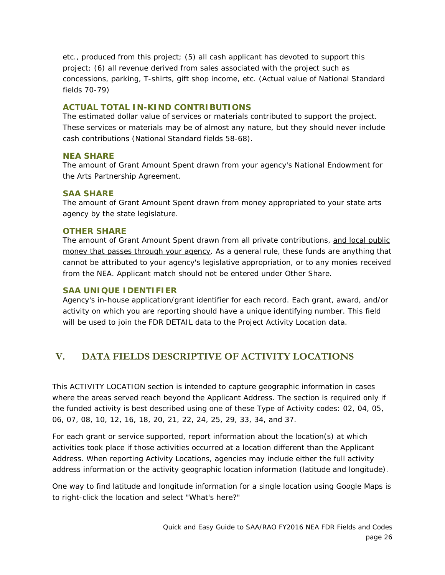etc., produced from this project; (5) all cash applicant has devoted to support this project; (6) all revenue derived from sales associated with the project such as concessions, parking, T-shirts, gift shop income, etc. (Actual value of National Standard fields 70-79)

## <span id="page-25-0"></span>**ACTUAL TOTAL IN-KIND CONTRIBUTIONS**

The estimated dollar value of services or materials contributed to support the project. These services or materials may be of almost any nature, but they should never include cash contributions (National Standard fields 58-68).

## <span id="page-25-1"></span>**NEA SHARE**

The amount of Grant Amount Spent drawn from your agency's National Endowment for the Arts Partnership Agreement.

## <span id="page-25-2"></span>**SAA SHARE**

The amount of Grant Amount Spent drawn from money appropriated to your state arts agency by the state legislature.

#### <span id="page-25-3"></span>**OTHER SHARE**

The amount of Grant Amount Spent drawn from all private contributions, and local public money that passes through your agency. As a general rule, these funds are anything that cannot be attributed to your agency's legislative appropriation, or to any monies received from the NEA. Applicant match should not be entered under Other Share.

## <span id="page-25-4"></span>**SAA UNIQUE IDENTIFIER**

Agency's in-house application/grant identifier for each record. Each grant, award, and/or activity on which you are reporting should have a unique identifying number. This field will be used to join the FDR DETAIL data to the Project Activity Location data.

# <span id="page-25-5"></span>**V. DATA FIELDS DESCRIPTIVE OF ACTIVITY LOCATIONS**

This ACTIVITY LOCATION section is intended to capture geographic information in cases where the areas served reach beyond the Applicant Address. The section is required only if the funded activity is best described using one of these Type of Activity codes: 02, 04, 05, 06, 07, 08, 10, 12, 16, 18, 20, 21, 22, 24, 25, 29, 33, 34, and 37.

For each grant or service supported, report information about the location(s) at which activities took place if those activities occurred at a location different than the Applicant Address. When reporting Activity Locations, agencies may include either the full activity address information or the activity geographic location information (latitude and longitude).

One way to find latitude and longitude information for a single location using Google Maps is to right-click the location and select "What's here?"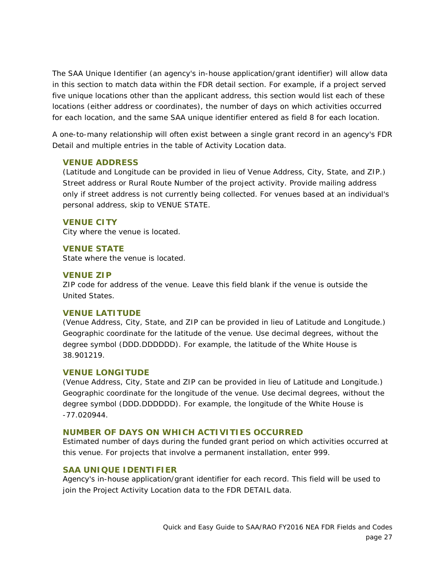The SAA Unique Identifier (an agency's in-house application/grant identifier) will allow data in this section to match data within the FDR detail section. For example, if a project served five unique locations other than the applicant address, this section would list each of these locations (either address or coordinates), the number of days on which activities occurred for each location, and the same SAA unique identifier entered as field 8 for each location.

A one-to-many relationship will often exist between a single grant record in an agency's FDR Detail and multiple entries in the table of Activity Location data.

#### <span id="page-26-0"></span>**VENUE ADDRESS**

(Latitude and Longitude can be provided in lieu of Venue Address, City, State, and ZIP.) Street address or Rural Route Number of the project activity. Provide mailing address only if street address is not currently being collected. For venues based at an individual's personal address, skip to VENUE STATE.

#### <span id="page-26-1"></span>**VENUE CITY**

City where the venue is located.

## <span id="page-26-2"></span>**VENUE STATE**

State where the venue is located.

## <span id="page-26-3"></span>**VENUE ZIP**

ZIP code for address of the venue. Leave this field blank if the venue is outside the United States.

#### <span id="page-26-4"></span>**VENUE LATITUDE**

(Venue Address, City, State, and ZIP can be provided in lieu of Latitude and Longitude.) Geographic coordinate for the latitude of the venue. Use decimal degrees, without the degree symbol (DDD.DDDDDD). For example, the latitude of the White House is 38.901219.

## <span id="page-26-5"></span>**VENUE LONGITUDE**

(Venue Address, City, State and ZIP can be provided in lieu of Latitude and Longitude.) Geographic coordinate for the longitude of the venue. Use decimal degrees, without the degree symbol (DDD.DDDDDD). For example, the longitude of the White House is -77.020944.

## <span id="page-26-6"></span>**NUMBER OF DAYS ON WHICH ACTIVITIES OCCURRED**

Estimated number of days during the funded grant period on which activities occurred at this venue. For projects that involve a permanent installation, enter 999.

## <span id="page-26-7"></span>**SAA UNIQUE IDENTIFIER**

Agency's in-house application/grant identifier for each record. This field will be used to join the Project Activity Location data to the FDR DETAIL data.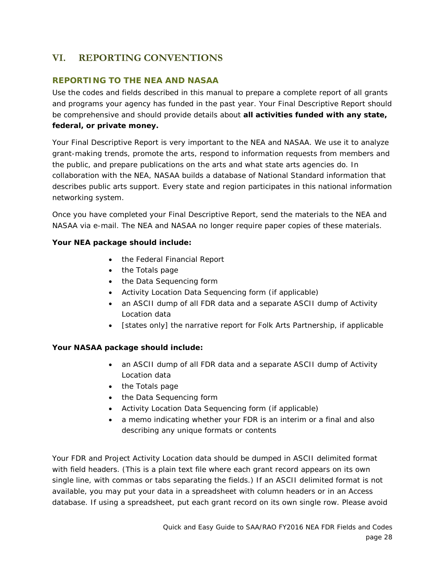# <span id="page-27-0"></span>**VI. REPORTING CONVENTIONS**

## <span id="page-27-1"></span>**REPORTING TO THE NEA AND NASAA**

Use the codes and fields described in this manual to prepare a complete report of all grants and programs your agency has funded in the past year. Your Final Descriptive Report should be comprehensive and should provide details about **all activities funded with any state, federal, or private money.**

Your Final Descriptive Report is very important to the NEA and NASAA. We use it to analyze grant-making trends, promote the arts, respond to information requests from members and the public, and prepare publications on the arts and what state arts agencies do. In collaboration with the NEA, NASAA builds a database of National Standard information that describes public arts support. Every state and region participates in this national information networking system.

Once you have completed your Final Descriptive Report, send the materials to the NEA and NASAA via e-mail. The NEA and NASAA no longer require paper copies of these materials.

## **Your NEA package should include:**

- the Federal Financial Report
- the Totals page
- the Data Sequencing form
- Activity Location Data Sequencing form (if applicable)
- an ASCII dump of all FDR data and a separate ASCII dump of Activity Location data
- [states only] the narrative report for Folk Arts Partnership, if applicable

## **Your NASAA package should include:**

- an ASCII dump of all FDR data and a separate ASCII dump of Activity Location data
- the Totals page
- the Data Sequencing form
- Activity Location Data Sequencing form (if applicable)
- a memo indicating whether your FDR is an interim or a final and also describing any unique formats or contents

Your FDR and Project Activity Location data should be dumped in ASCII delimited format with field headers. (This is a plain text file where each grant record appears on its own single line, with commas or tabs separating the fields.) If an ASCII delimited format is not available, you may put your data in a spreadsheet with column headers or in an Access database. If using a spreadsheet, put each grant record on its own single row. Please avoid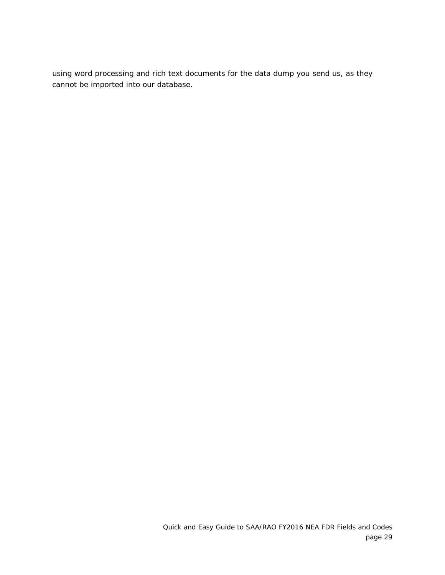using word processing and rich text documents for the data dump you send us, as they cannot be imported into our database.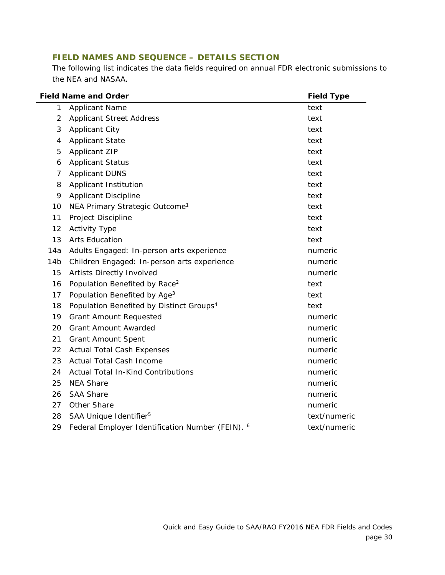## <span id="page-29-0"></span>**FIELD NAMES AND SEQUENCE – DETAILS SECTION**

The following list indicates the data fields required on annual FDR electronic submissions to the NEA and NASAA.

| <b>Field Name and Order</b> |                                                      | <b>Field Type</b> |
|-----------------------------|------------------------------------------------------|-------------------|
| 1                           | <b>Applicant Name</b>                                | text              |
| $\overline{2}$              | <b>Applicant Street Address</b>                      | text              |
| 3                           | <b>Applicant City</b>                                | text              |
| 4                           | <b>Applicant State</b>                               | text              |
| 5                           | <b>Applicant ZIP</b>                                 | text              |
| 6                           | <b>Applicant Status</b>                              | text              |
| 7                           | <b>Applicant DUNS</b>                                | text              |
| 8                           | Applicant Institution                                | text              |
| 9                           | <b>Applicant Discipline</b>                          | text              |
| 10                          | NEA Primary Strategic Outcome <sup>1</sup>           | text              |
| 11                          | Project Discipline                                   | text              |
| 12                          | <b>Activity Type</b>                                 | text              |
| 13                          | <b>Arts Education</b>                                | text              |
| 14a                         | Adults Engaged: In-person arts experience            | numeric           |
| 14 <sub>b</sub>             | Children Engaged: In-person arts experience          | numeric           |
| 15                          | Artists Directly Involved                            | numeric           |
| 16                          | Population Benefited by Race <sup>2</sup>            | text              |
| 17                          | Population Benefited by Age <sup>3</sup>             | text              |
| 18                          | Population Benefited by Distinct Groups <sup>4</sup> | text              |
| 19                          | <b>Grant Amount Requested</b>                        | numeric           |
| 20                          | <b>Grant Amount Awarded</b>                          | numeric           |
| 21                          | <b>Grant Amount Spent</b>                            | numeric           |
| 22                          | <b>Actual Total Cash Expenses</b>                    | numeric           |
| 23                          | <b>Actual Total Cash Income</b>                      | numeric           |
| 24                          | <b>Actual Total In-Kind Contributions</b>            | numeric           |
| 25                          | <b>NEA Share</b>                                     | numeric           |
| 26                          | <b>SAA Share</b>                                     | numeric           |
| 27                          | Other Share                                          | numeric           |
| 28                          | SAA Unique Identifier <sup>5</sup>                   | text/numeric      |
| 29                          | Federal Employer Identification Number (FEIN). 6     | text/numeric      |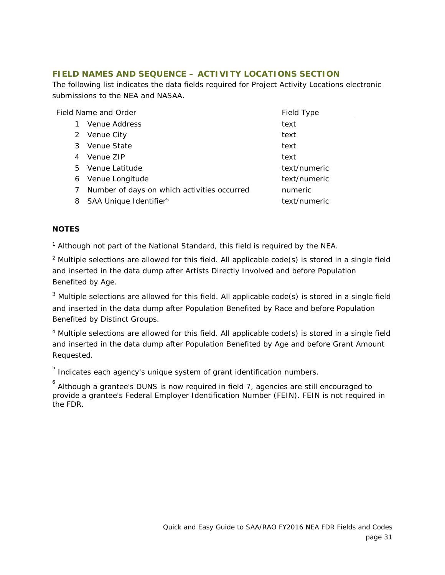## <span id="page-30-0"></span>**FIELD NAMES AND SEQUENCE – ACTIVITY LOCATIONS SECTION**

The following list indicates the data fields required for Project Activity Locations electronic submissions to the NEA and NASAA.

| Field Name and Order |                                             | Field Type   |
|----------------------|---------------------------------------------|--------------|
|                      | Venue Address                               | text         |
|                      | 2 Venue City                                | text         |
| 3                    | Venue State                                 | text         |
| 4                    | Venue ZIP                                   | text         |
|                      | 5 Venue Latitude                            | text/numeric |
| 6                    | Venue Longitude                             | text/numeric |
| 7                    | Number of days on which activities occurred | numeric      |
| 8                    | SAA Unique Identifier <sup>5</sup>          | text/numeric |

## **NOTES**

<sup>1</sup> Although not part of the National Standard, this field is required by the NEA.

 $2$  Multiple selections are allowed for this field. All applicable code(s) is stored in a single field and inserted in the data dump after Artists Directly Involved and before Population Benefited by Age.

 $3$  Multiple selections are allowed for this field. All applicable code(s) is stored in a single field and inserted in the data dump after Population Benefited by Race and before Population Benefited by Distinct Groups.

<sup>4</sup> Multiple selections are allowed for this field. All applicable code(s) is stored in a single field and inserted in the data dump after Population Benefited by Age and before Grant Amount Requested.

 $^5$  Indicates each agency's unique system of grant identification numbers.

 $^6$  Although a grantee's DUNS is now required in field 7, agencies are still encouraged to provide a grantee's Federal Employer Identification Number (FEIN). FEIN is not required in the FDR.